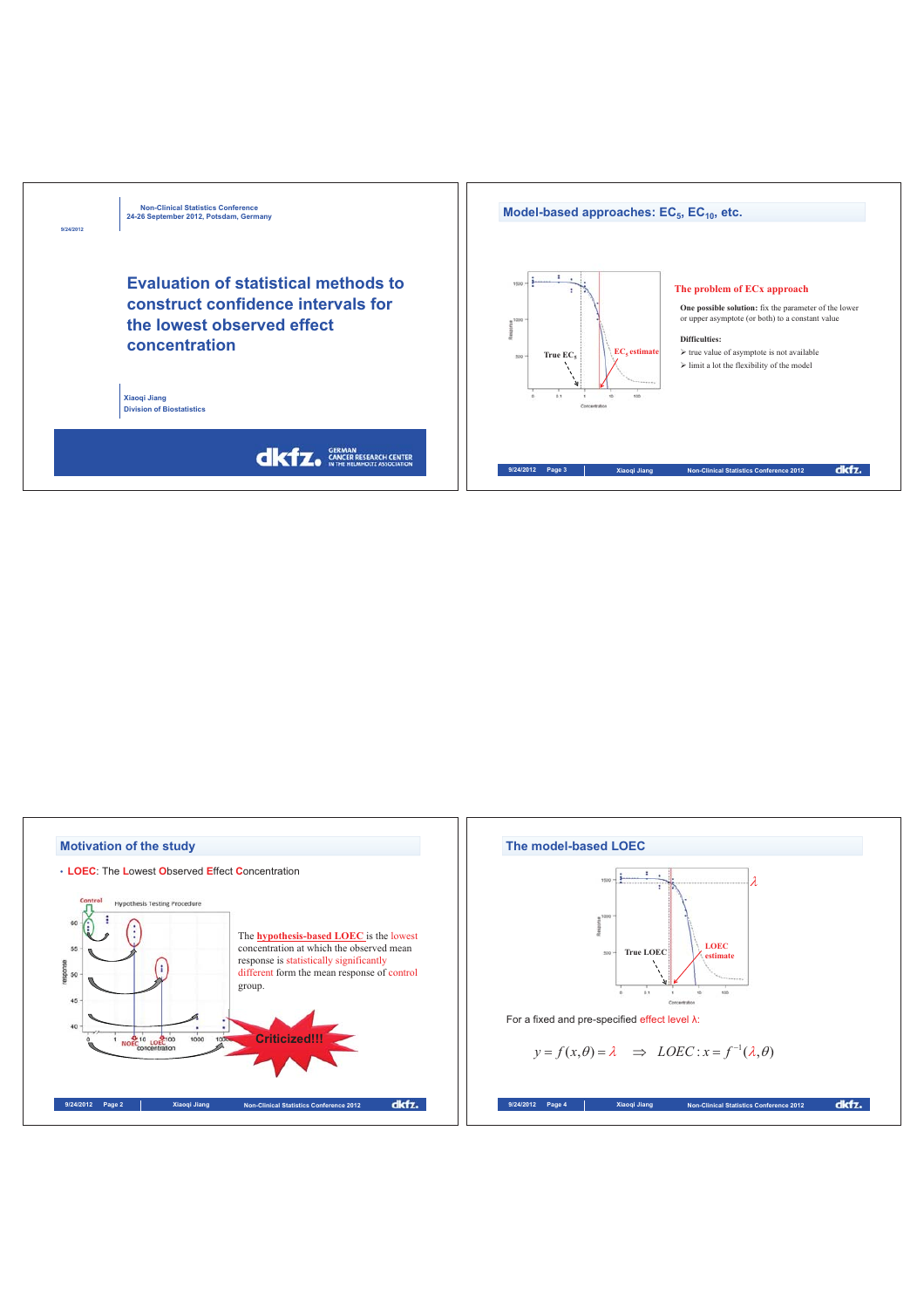

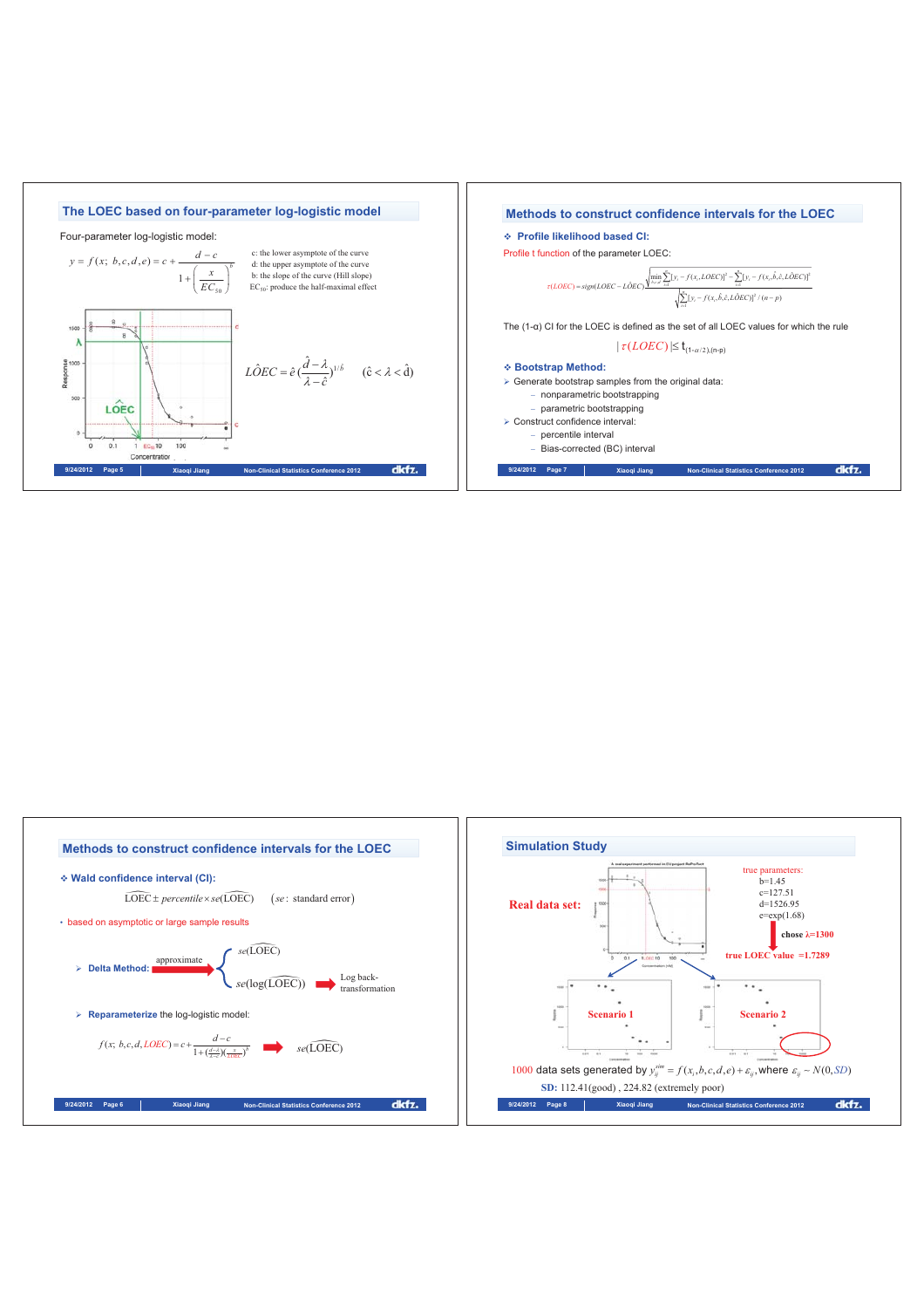

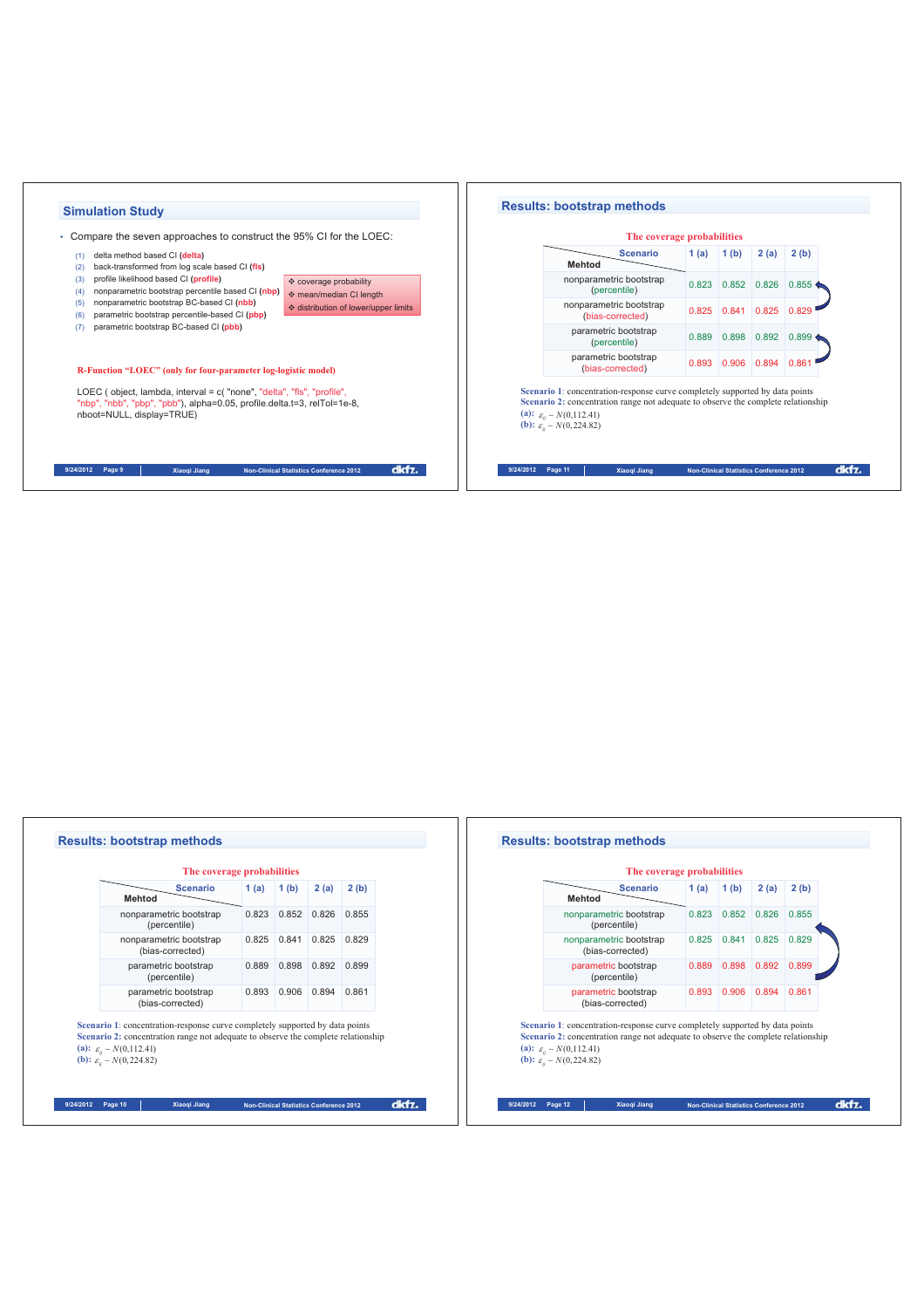



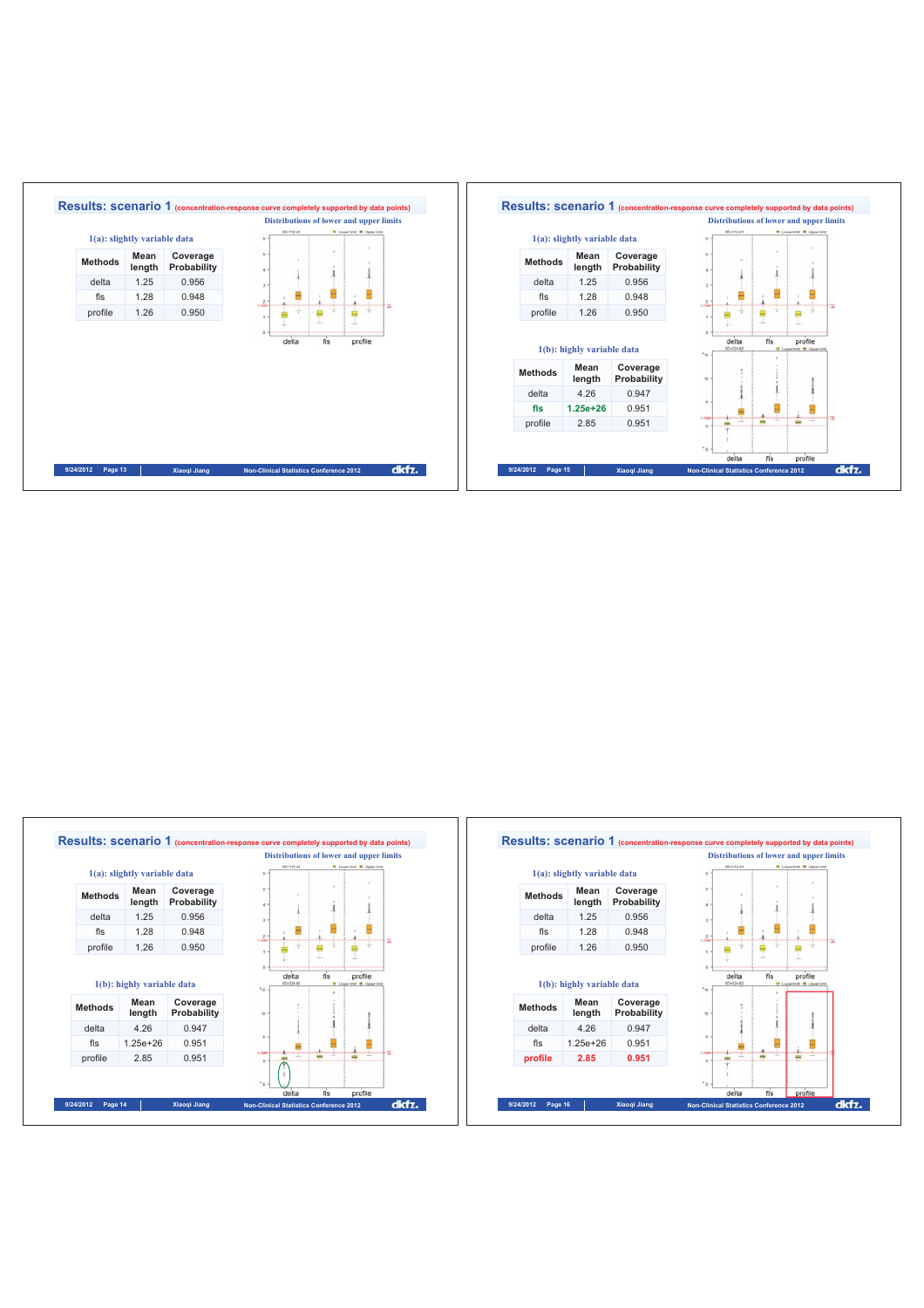